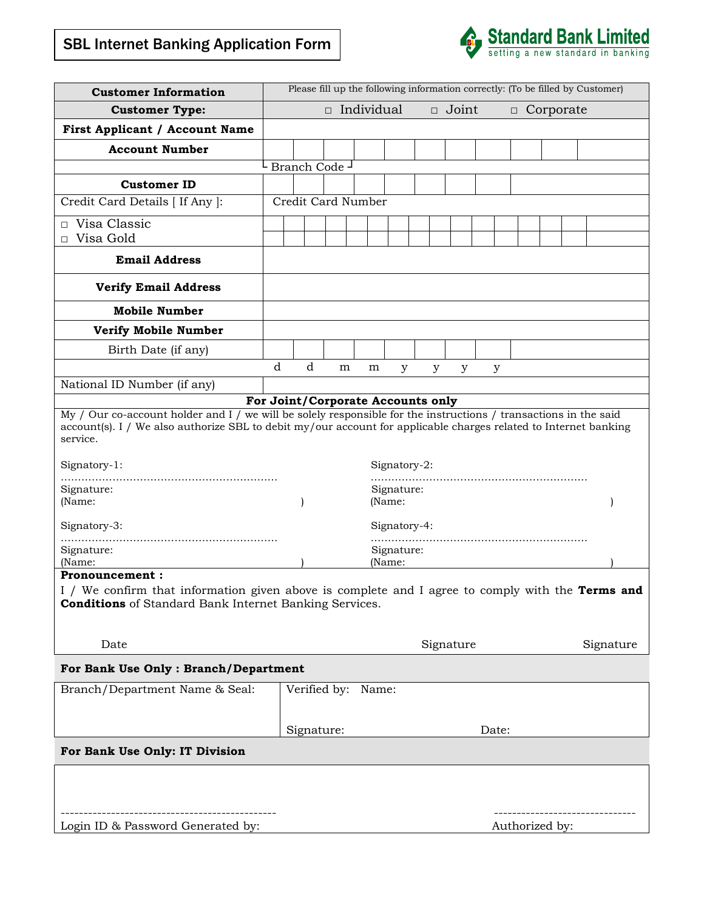# $\frac{1}{\sqrt{2}}$ SBL Internet Banking Application Form



| <b>Customer Information</b>                                                                                                                                                                                                                                                                            | Please fill up the following information correctly: (To be filled by Customer)                                                                                                                                                                                                                       |               |   |                                   |   |   |           |   |                |  |  |           |
|--------------------------------------------------------------------------------------------------------------------------------------------------------------------------------------------------------------------------------------------------------------------------------------------------------|------------------------------------------------------------------------------------------------------------------------------------------------------------------------------------------------------------------------------------------------------------------------------------------------------|---------------|---|-----------------------------------|---|---|-----------|---|----------------|--|--|-----------|
| <b>Customer Type:</b>                                                                                                                                                                                                                                                                                  | $\Box$ Individual<br>$\Box$ Joint<br>$\Box$ Corporate                                                                                                                                                                                                                                                |               |   |                                   |   |   |           |   |                |  |  |           |
| First Applicant / Account Name                                                                                                                                                                                                                                                                         |                                                                                                                                                                                                                                                                                                      |               |   |                                   |   |   |           |   |                |  |  |           |
| <b>Account Number</b>                                                                                                                                                                                                                                                                                  |                                                                                                                                                                                                                                                                                                      |               |   |                                   |   |   |           |   |                |  |  |           |
|                                                                                                                                                                                                                                                                                                        |                                                                                                                                                                                                                                                                                                      | Branch Code - |   |                                   |   |   |           |   |                |  |  |           |
| <b>Customer ID</b>                                                                                                                                                                                                                                                                                     |                                                                                                                                                                                                                                                                                                      |               |   |                                   |   |   |           |   |                |  |  |           |
| Credit Card Details [ If Any ]:                                                                                                                                                                                                                                                                        | Credit Card Number                                                                                                                                                                                                                                                                                   |               |   |                                   |   |   |           |   |                |  |  |           |
| Visa Classic<br>П.                                                                                                                                                                                                                                                                                     |                                                                                                                                                                                                                                                                                                      |               |   |                                   |   |   |           |   |                |  |  |           |
| Visa Gold<br>$\Box$                                                                                                                                                                                                                                                                                    |                                                                                                                                                                                                                                                                                                      |               |   |                                   |   |   |           |   |                |  |  |           |
| <b>Email Address</b>                                                                                                                                                                                                                                                                                   |                                                                                                                                                                                                                                                                                                      |               |   |                                   |   |   |           |   |                |  |  |           |
| <b>Verify Email Address</b>                                                                                                                                                                                                                                                                            |                                                                                                                                                                                                                                                                                                      |               |   |                                   |   |   |           |   |                |  |  |           |
| <b>Mobile Number</b>                                                                                                                                                                                                                                                                                   |                                                                                                                                                                                                                                                                                                      |               |   |                                   |   |   |           |   |                |  |  |           |
| <b>Verify Mobile Number</b>                                                                                                                                                                                                                                                                            |                                                                                                                                                                                                                                                                                                      |               |   |                                   |   |   |           |   |                |  |  |           |
| Birth Date (if any)                                                                                                                                                                                                                                                                                    |                                                                                                                                                                                                                                                                                                      |               |   |                                   |   |   |           |   |                |  |  |           |
|                                                                                                                                                                                                                                                                                                        | d                                                                                                                                                                                                                                                                                                    | $\mathbf d$   | m | m                                 | у | у | у         | у |                |  |  |           |
| National ID Number (if any)                                                                                                                                                                                                                                                                            |                                                                                                                                                                                                                                                                                                      |               |   | For Joint/Corporate Accounts only |   |   |           |   |                |  |  |           |
| My / Our co-account holder and I / we will be solely responsible for the instructions / transactions in the said<br>service.<br>Signatory-1:<br>Signature:<br>(Name:<br>Signatory-3:<br>Signature:<br>(Name:<br><b>Pronouncement:</b><br><b>Conditions</b> of Standard Bank Internet Banking Services. | account(s). I / We also authorize SBL to debit my/our account for applicable charges related to Internet banking<br>Signatory-2:<br>Signature:<br>(Name:<br>Signatory-4:<br>Signature:<br>(Name:<br>I / We confirm that information given above is complete and I agree to comply with the Terms and |               |   |                                   |   |   |           |   |                |  |  |           |
| Date                                                                                                                                                                                                                                                                                                   |                                                                                                                                                                                                                                                                                                      |               |   |                                   |   |   | Signature |   |                |  |  | Signature |
| For Bank Use Only : Branch/Department                                                                                                                                                                                                                                                                  |                                                                                                                                                                                                                                                                                                      |               |   |                                   |   |   |           |   |                |  |  |           |
| Branch/Department Name & Seal:                                                                                                                                                                                                                                                                         | Verified by: Name:<br>Signature:<br>Date:                                                                                                                                                                                                                                                            |               |   |                                   |   |   |           |   |                |  |  |           |
| For Bank Use Only: IT Division                                                                                                                                                                                                                                                                         |                                                                                                                                                                                                                                                                                                      |               |   |                                   |   |   |           |   |                |  |  |           |
| Login ID & Password Generated by:                                                                                                                                                                                                                                                                      |                                                                                                                                                                                                                                                                                                      |               |   |                                   |   |   |           |   | Authorized by: |  |  |           |